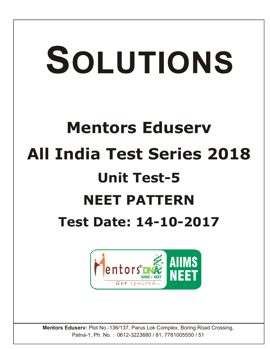# SOLUTIONS

# **Mentors Eduserv All India Test Series 2018 Unit Test-5 NEET PATTERN Test Date: 14-10-2017**



**Mentors Eduserv:** Plot No.-136/137, Parus Lok Complex, Boring Road Crossing, Patna-1, Ph. No. : 0612-3223680 / 81, 7781005550 / 51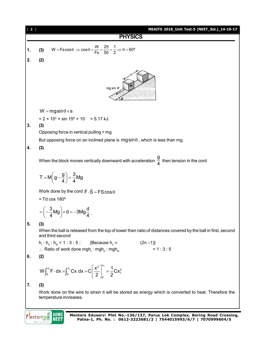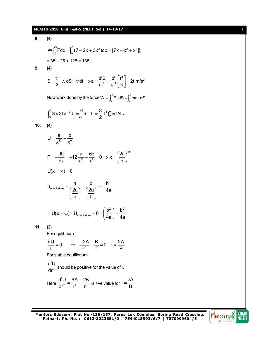# **MEAITS 2018\_Unit Test-5 (NEET\_Sol.)\_14-10-17** [ 3 ]

8. (4)  
\n
$$
W \int_0^5 F dx = \int_0^5 (7 - 2x + 3x^2) dx = [7x - x^2 + x^3]_0^5
$$
\n
$$
= 35 - 25 + 125 = 135 \text{ J}
$$
\n9. (4)  
\n
$$
S = \frac{t^3}{3} \therefore dS = t^2 dt \Rightarrow a = \frac{d^2S}{dt^2} = \frac{d^2}{dt^2} \left[ \frac{t^3}{3} \right] = 2t \text{ m/s}^2
$$
\nNow work done by the force  $W = \int_0^2 F \cdot dS = \int_0^2 \text{m a} \cdot dS$   
\n
$$
\int_0^2 3 \times 2t \times t^2 dt = \int_0^2 6t^3 dt = \frac{3}{2} [t^4]_0^2 = 24 \text{ J}
$$
\n10. (4)  
\n
$$
U = \frac{a}{x^{12}} - \frac{b}{x^6}
$$
\n
$$
F = -\frac{dU}{dx} = +12 \frac{a}{x^{13}} - \frac{6b}{x^7} = 0 \Rightarrow x = \left(\frac{2a}{b}\right)^{1/8}
$$
\n
$$
U(x = \infty) = 0
$$
\n
$$
U_{\text{equilibrium}} = \frac{a}{\left(\frac{2a}{b}\right)} - \frac{b}{\left(\frac{2a}{b}\right)} = -\frac{b^2}{4a}
$$
\n11. (2)  
\nFor equilibrium  
\n
$$
\frac{dU}{dr} = 0 \Rightarrow \frac{-2A}{r^3} + \frac{B}{r^2} = 0 \text{ r} = \frac{2A}{B}
$$
\nFor stable equilibrium  
\n
$$
\frac{d^2U}{dr^2} \text{ should be positive for the value of r.}
$$
\nHere  $\frac{d^2U}{dr^2} = \frac{6A}{r^4} - \frac{2B}{r^3}$  is +ve value for  $t = \frac{2A}{B}$ 

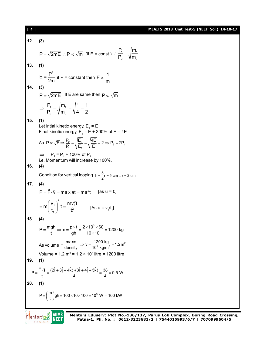### [ 4 ] **MEAITS 2018\_Unit Test-5 (NEET\_Sol.)\_14-10-17**

**12. (3)**  $P = \sqrt{2mE}$  :  $P \propto \sqrt{m}$  (if E = const.)  $\therefore \frac{1}{P_2} = \sqrt{\frac{m_1}{m_2}}$  $P_1$  /m  $P_2 \quad \forall m$  $\therefore \frac{1}{R} =$ **13. (1)**  $E = \frac{P^2}{2m}$  if P = constant then  $E \propto \frac{1}{m}$  $\infty$ **14. (3)**  $P = \sqrt{2mE}$  . If E are same then  $P \propto \sqrt{m}$ <u>1 | '''1</u> 2 **1'''**2  $P_1$  /m, /1 1  $P_2$   $\sqrt{m_2}$   $\sqrt{4}$  2  $\Rightarrow \frac{1}{2} = \frac{1}{2}$  =  $\frac{1}{2}$  =  $\frac{1}{2}$  = **15. (1)** Let intial kinetic energy,  $\mathsf{E}^{}_{\scriptscriptstyle{1}}$  = E Final kinetic energy,  $\mathsf{E}_{_2}$  = E + 300% of E = 4E As  $P \propto \sqrt{E} \Rightarrow \frac{P_2}{P_1} = \sqrt{\frac{P_2}{E_1}} = \sqrt{\frac{P_1}{E}} = 2 \Rightarrow P_2 = 2P_1$  $P \propto \sqrt{E} \Rightarrow \frac{P_2}{P_1} = \sqrt{\frac{E_2}{E_1}} = \sqrt{\frac{4E}{E}} = 2 \Rightarrow P_2 = 2P$  $\implies$  P<sub>2</sub> = P<sub>1</sub> + 100% of P<sub>1</sub> i.e. Momentum will increase by 100%. **16. (4)** Condition for vertical looping  $h = \frac{5}{2}r = 5$  cm  $\therefore r = 2$  cm  $\therefore$ **17. (4)** <sup>2</sup> P F v ma at ma t [as u = 0]  $\left(\frac{t_1}{1}\right)^2$  t =  $\frac{mv_1^2}{t_1^2}$  $m\left(\frac{V_1}{t}\right)$  t =  $\frac{mv_1^2t}{t^2}$  $t = m \left( \frac{v_1}{t_1} \right)^2 t = \frac{mv_1^2 t}{t_1^2}$  [As a = v<sub>1</sub>/t<sub>1</sub>] **18. (4)**  $P = \frac{mgh}{t} \Rightarrow m = \frac{p \times t}{gh} = \frac{2 \times 10^3 \times 60}{10 \times 10} = 1200$  kg As volume  $=$   $\frac{\text{mass}}{\text{density}} \Rightarrow v = \frac{1200 \text{ kg}}{10^3 \text{ kg/m}^3} = 1.2 \text{m}^2$ Volume = 1.2  $\text{m}^3$  = 1.2  $\times$  10<sup>3</sup> litre = 1200 litre **19. (1)**  $P = \frac{\vec{F} \cdot \vec{s}}{t} = \frac{(2\hat{i} + 3\hat{j} + 4\hat{k}) \cdot (3\hat{i} + 4\hat{j} + 5\hat{k})}{4} = \frac{38}{4} = 9.5$  W  $\frac{1}{2}$   $\frac{1}{2}$ **20. (1)**  $P = \left(\frac{m}{t}\right)$ gh = 100 × 10 × 100 = 10<sup>5</sup> W = 100 kW

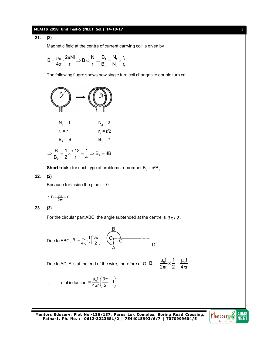# **MEAITS 2018\_Unit Test-5 (NEET\_Sol.)\_14-10-17** [ 5 ]

# **21. (3)**

Magnetic field at the centre of current carrying coil is given by

$$
B=\frac{\mu_0}{4\pi}\cdot\frac{2\pi N i}{r}\Longrightarrow B\varpropto\frac{N}{r}\Longrightarrow\frac{B_1}{B_2}=\frac{N_1}{N_2}\times\frac{r_2}{r_1}
$$

The following fiugre shows how single turn coil changes to double turn coil.



$$
\Rightarrow \frac{B}{B_2} = \frac{1}{2} \times \frac{1/2}{r} = \frac{1}{4} \Rightarrow B_2 = 4B
$$

**Short trick :** for such type of problems remember  $B_2 = n^2B_1$ 

# **22. (2)**

Because for inside the pipe  $i = 0$ 

$$
\therefore\ B=\frac{\mu_0 i}{2\pi r}=0
$$

# **23. (3)**

For the circular part ABC, the angle subtended at the centre is  $3\pi/2$ .

Due to ABC, 
$$
B_1 = \frac{\mu_0}{4\pi} \cdot \frac{I}{r} \left( \frac{3\pi}{2} \right)
$$

Due to AD, A is at the end of the wire, therefore at O,  $B_2 = \frac{\mu_0 I}{2\pi} \times \frac{1}{2} = \frac{\mu_0}{4\pi}$  $2\pi$ r 2  $4\pi$ r  $=\frac{\mu_0 I}{2} \times \frac{1}{2} = \frac{\mu_0 I}{4}$  $\pi$ r 2 4 $\pi$ 

∴ Total induction = 
$$
\frac{\mu_0 I}{4\pi r} \left( \frac{3\pi}{2} + 1 \right)
$$

**Mentors Eduserv: Plot No.-136/137, Parus Lok Complex, Boring Road Crossing, Patna-1, Ph. No. : 0612-3223681/2 | 7544015993/6/7 | 7070999604/5**

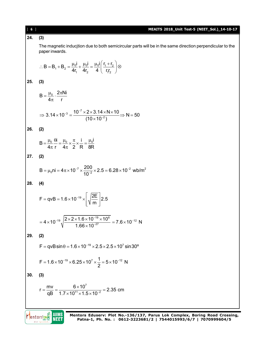| [6] | MEAITS 2018_Unit Test-5 (NEET_Sol.)_14-10-17                                                                                                                               |
|-----|----------------------------------------------------------------------------------------------------------------------------------------------------------------------------|
| 24. | (3)                                                                                                                                                                        |
|     | The magnetic inducjtion due to both semicircular parts will be in the same direction perpendicular to the<br>paper inwards.                                                |
|     | ∴ B = B <sub>1</sub> + B <sub>2</sub> = $\frac{\mu_0 i}{4r_1} + \frac{\mu_0 i}{4r_2} = \frac{\mu_0 i}{4} \left( \frac{r_1 + r_2}{r_1 r_2} \right)$ ⊗                       |
| 25. | (3)                                                                                                                                                                        |
|     | $B = \frac{\mu_0}{4\pi} \cdot \frac{2\pi N i}{r}$                                                                                                                          |
|     | ⇒ 3.14 × 10 <sup>-3</sup> = $\frac{10^{-7} \times 2 \times 3.14 \times N \times 10}{(10 \times 10^{-2})}$ ⇒ N = 50                                                         |
| 26. | (2)                                                                                                                                                                        |
|     | $B = \frac{\mu_0}{4\pi} \frac{\theta i}{r} = \frac{\mu_0}{4\pi} \times \frac{\pi}{2} \times \frac{i}{R} = \frac{\mu_0 I}{8R}$                                              |
| 27. | (2)                                                                                                                                                                        |
|     | $B = \mu_0 n i = 4\pi \times 10^{-7} \times \frac{200}{10^{-2}} \times 2.5 = 6.28 \times 10^{-2}$ wb/m <sup>2</sup>                                                        |
| 28. | (4)                                                                                                                                                                        |
|     | $F = qvB = 1.6 \times 10^{-19} \times \sqrt{\frac{2E}{m}}$ 2.5                                                                                                             |
|     | = $4 \times 10^{-19} \sqrt{\frac{2 \times 2 \times 1.6 \times 10^{-19} \times 10^6}{1.66 \times 10^{-27}}}$ = $7.6 \times 10^{-12}$ N                                      |
| 29. | (2)                                                                                                                                                                        |
|     | $F = qvB\sin\theta = 1.6 \times 10^{-19} \times 2.5 \times 2.5 \times 10^7 \sin 30^{\circ}$                                                                                |
|     | $F = 1.6 \times 10^{-19} \times 6.25 \times 10^7 \times \frac{1}{2} = 5 \times 10^{-12}$ N                                                                                 |
| 30. | (3)                                                                                                                                                                        |
|     | $r = \frac{mv}{qB} = \frac{6 \times 10^7}{1.7 \times 10^{11} \times 1.5 \times 10^{-2}} = 2.35$ cm                                                                         |
|     |                                                                                                                                                                            |
|     | AIIMS<br>Mentors Eduserv: Plot No.-136/137, Parus Lok Complex, Boring Road Crossing,<br>entors<br>NEEI<br>Patna-1, Ph. No.: 0612-3223681/2   7544015993/6/7   7070999604/5 |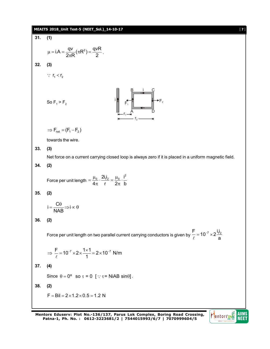**CHAPTER 2016 Unit Test-5 (NET\_Sol.)** 14-10-17  
\n31. (1)  
\n
$$
\mu = iA = \frac{qv}{2\pi R} (\pi R^2) = \frac{qvR}{2}.
$$
\n32. (3)  
\n
$$
\therefore r_i < r_2
$$
\nSo  $F_1 > F_2$   
\n
$$
\Rightarrow F_{rot} = (F_1 - F_2)
$$
\ntowards the wire.  
\n33. (3)  
\nNet force on a current carrying closed loop is always zero if it is placed in a uniform magnetic field.  
\n34. (2)  
\nForce per unit length =  $\frac{\mu_0}{4\pi} \cdot \frac{2i_2}{r} = \frac{\mu_0}{2\pi} \cdot \frac{i^2}{b}$   
\n35. (2)  
\n
$$
i = \frac{C\theta}{NAB} \Rightarrow i \propto 0
$$
\n36. (2)  
\nForce per unit length on two parallel current carrying conductors is given by  $\frac{F}{\epsilon} = 10^{-7} \times 2 \frac{i i_2}{a}$   
\n
$$
\Rightarrow \frac{F}{\epsilon} = 10^{-7} \times 2 \times \frac{1 \times 1}{1} = 2 \times 10^{-7} \text{ N/m}
$$
  
\n37. (4)  
\nSince  $0 = 0^{\circ}$  so  $\tau = 0$  [  $\because \tau = NiAB \sin\theta$ ].  
\n38. (2)  
\n $F = Bi = 2 \times 1.2 \times 0.5 = 1.2 N$ 

**Mentors Eduserv: Plot No.-136/137, Parus Lok Complex, Boring Road Crossing, Patna-1, Ph. No. : 0612-3223681/2 | 7544015993/6/7 | 7070999604/5**

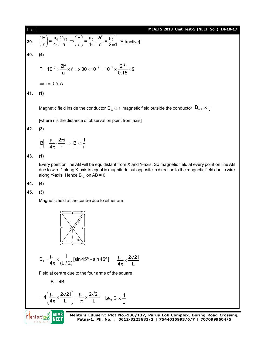H**ATIS 2018. Unit Test-5 (NET-Sol.) 14-10-17**  
\n39. 
$$
\left(\frac{F}{f}\right) = \frac{\mu_0}{4\pi} \frac{2i\frac{1}{4}}{a} \Rightarrow \left(\frac{F}{f}\right) = \frac{\mu_0}{4\pi} \cdot \frac{2i^2}{d} = \frac{\mu_0 i^2}{2\pi d} \text{ [Attractive]}
$$
  
\n40. (4)  
\n $F = 10^{-7} \times \frac{2i^2}{a} \times \ell \Rightarrow 30 \times 10^{-7} = 10^{-7} \times \frac{2i^2}{0.15} \times 9$   
\n $\Rightarrow i = 0.5$  A  
\n41. (1)  
\nMagnetic field inside the conductor B<sub>in</sub> × r magnetic field outside the conductor B<sub>out</sub> ∞<sub>1</sub><sup>T</sup>  
\n[where r is the distance of observation point from axis]  
\n42. (3)  
\n $|\vec{B}| = \frac{\mu_0}{4\pi} \cdot \frac{2\pi i}{r} \Rightarrow |\vec{B}| \approx \frac{1}{r}$   
\n43. (1)  
\nEve point on line AB will be equidistant from X and Y-axis. So magnetic field at every point on line AB  
\ndiony Y-axis. Hence B<sub>tot</sub> on AB = 0  
\n44. (4)  
\n45. (3)  
\nMagnetic field at the centre due to either arm  
\n $\vec{C} = \frac{1 + \mu_0}{4\pi} \times \frac{2\sqrt{2}I}{(1/2)} [\sin 45^\circ + \sin 45^\circ] = \frac{\mu_0}{4\pi} \times \frac{2\sqrt{2}I}{L}$   
\nField at centre due to the four arms of the square,  
\nB = 4B,  
\n $= 4\left(\frac{\mu_0}{4\pi} \times \frac{2\sqrt{2}I}{L}\right) = \frac{\mu_0}{\pi} \times \frac{2\sqrt{2}I}{L}$  i.e., B ×  $\frac{1}{L}$   
\nPlentoring, MultIS  
\nPatna-1, Ph. No. : 0612-3223681/2 | 7544015993/6/7 | 7070999664/5  
\n8.16  
\n2.16  
\n2.17  
\nPlatoring, MultIS  
\n2.18  
\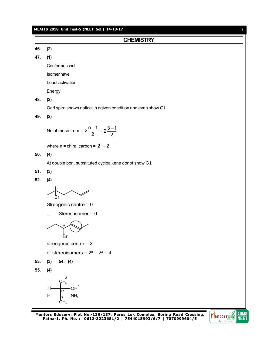|     | MEAITS 2018_Unit Test-5 (NEET_Sol.)_14-10-17<br>$[9]$                                      |
|-----|--------------------------------------------------------------------------------------------|
|     | <b>CHEMISTRY</b>                                                                           |
| 46. | (2)                                                                                        |
| 47. | (1)                                                                                        |
|     | Conformational                                                                             |
|     | Isomer have                                                                                |
|     | Least activation                                                                           |
|     | Energy                                                                                     |
| 48. | (2)                                                                                        |
|     | Odd spiro shown optical in agiven condition and even show G.I.                             |
| 49. | (2)                                                                                        |
|     | No of meso from = $2\frac{n-1}{2}$ = $2\frac{3-1}{2}$                                      |
|     | where $n =$ chiral carbon = $2^1 = 2$                                                      |
| 50. | (4)                                                                                        |
|     | At double bon, substituted cycloalkene donot show G.I.                                     |
| 51. | (3)                                                                                        |
| 52. | (4)                                                                                        |
|     | Br                                                                                         |
|     | Streogenic centre = 0                                                                      |
|     | Steres isomer $= 0$<br>$\ddot{\cdot}$                                                      |
|     | Вr                                                                                         |
|     | streogenic centre = 2                                                                      |
|     | of stereoisomers = $2^n$ = $2^2$ = 4                                                       |
| 53. | 54. (4)<br>(3)                                                                             |
| 55. | (4)                                                                                        |
|     | $CH3$ <sup>3</sup><br>OH <sup>1</sup><br>H<br>R<br>$H^2$<br>$-MH2$<br>s<br>CH <sub>3</sub> |

**Mentors Eduserv: Plot No.-136/137, Parus Lok Complex, Boring Road Crossing, Patna-1, Ph. No. : 0612-3223681/2 | 7544015993/6/7 | 7070999604/5**

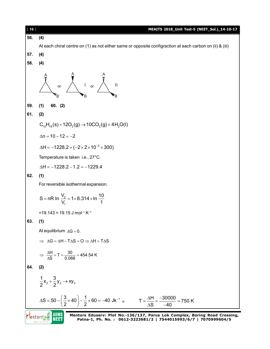

**Patna-1, Ph. No. : 0612-3223681/2 | 7544015993/6/7 | 7070999604/5**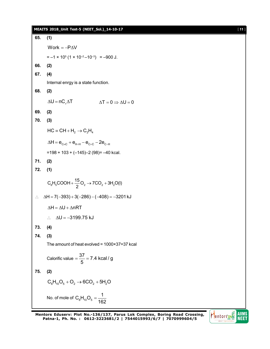|                             | MEAITS 2018_Unit Test-5 (NEET_Sol.)_14-10-17                          | $[11]$ |
|-----------------------------|-----------------------------------------------------------------------|--------|
| 65.                         | (1)                                                                   |        |
|                             | Work = $-P\Delta V$                                                   |        |
|                             | $= -1 \times 10^5 (1 \times 10^{-2} - 10^{-3}) = -900$ J.             |        |
| 66.                         | (2)                                                                   |        |
| 67.                         | (4)                                                                   |        |
|                             | Internal enrgy is a state function.                                   |        |
| 68.                         | (2)                                                                   |        |
|                             | $\Delta U = nC_v \Delta T$<br>$\Delta T = 0 \Rightarrow \Delta U = 0$ |        |
| 69.                         | (2)                                                                   |        |
| 70.                         | (3)                                                                   |        |
|                             | $HC = CH + H_2 \rightarrow C_2H_4$                                    |        |
|                             | $\Delta H = e_{C=C} + e_{H-H} - e_{C=C} - 2e_{C-H}$                   |        |
|                             | $=$ 198 + 103 + (-145)-2 (98)= -40 kcal.                              |        |
| 71.                         | (2)                                                                   |        |
| 72.                         | (1)                                                                   |        |
|                             | $C_6H_5COOH + \frac{15}{2}O_2 \rightarrow 7CO_2 + 3H_2O(I)$           |        |
| $\mathcal{L}_{\mathcal{C}}$ | $\Delta H = 7(-393) + 3(-286) - (-408) = -3201 \text{ kJ}$            |        |
|                             | $\Delta H = \Delta U + \Delta nRT$                                    |        |
|                             | $\Delta U = -3199.75$ kJ<br>$\mathcal{L}_{\text{max}}$                |        |
| 73.                         | (4)                                                                   |        |
| 74.                         | (3)                                                                   |        |
|                             | The amount of heat evolved = $1000 \times 37 = 37$ kcal               |        |
|                             | Calorific value = $\frac{37}{5}$ = 7.4 kcal / g                       |        |
| 75.                         | (2)                                                                   |        |
|                             | $C_6H_{10}O_5 + O_2 \rightarrow 6CO_2 + 5H_2O$                        |        |
|                             | No. of mole of $C_6H_{10}O_5 = \frac{1}{162}$                         |        |

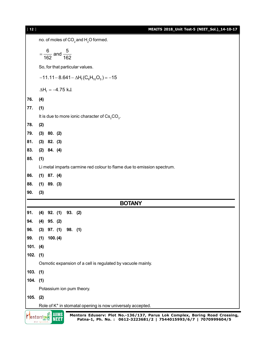| $[ 12 ]$   | MEAITS 2018_Unit Test-5 (NEET_Sol.)_14-10-17                                                                                                                                          |  |
|------------|---------------------------------------------------------------------------------------------------------------------------------------------------------------------------------------|--|
|            | no. of moles of CO <sub>2</sub> and H <sub>2</sub> O formed.                                                                                                                          |  |
|            | $=\frac{6}{162}$ and $\frac{5}{162}$                                                                                                                                                  |  |
|            | So, for that particular values.                                                                                                                                                       |  |
|            | $-11.11-8.641-\Delta H_f(C_6H_{10}O_5)=-15$                                                                                                                                           |  |
|            | $\Delta H_f = -4.75$ kJ.                                                                                                                                                              |  |
| 76.        | (4)                                                                                                                                                                                   |  |
| 77.        | (1)                                                                                                                                                                                   |  |
|            | It is due to more ionic character of $Cs2CO3$ .                                                                                                                                       |  |
| 78.        | (2)                                                                                                                                                                                   |  |
| 79.        | $(3)$ 80. $(2)$                                                                                                                                                                       |  |
| 81.        | $(3)$ 82. $(3)$                                                                                                                                                                       |  |
| 83.        | $(2)$ 84. $(4)$                                                                                                                                                                       |  |
| 85.        | (1)                                                                                                                                                                                   |  |
|            | Li metal imparts carmine red colour to flame due to emission spectrum.                                                                                                                |  |
| 86.        | $(1)$ 87. $(4)$                                                                                                                                                                       |  |
| 88.        | $(1)$ 89. $(3)$                                                                                                                                                                       |  |
| 90.        | (3)                                                                                                                                                                                   |  |
|            | <b>BOTANY</b>                                                                                                                                                                         |  |
| 91.        | 93. (2)<br>$(4)$ 92. $(1)$                                                                                                                                                            |  |
| 94.        | (4)<br>95. (2)                                                                                                                                                                        |  |
| 96.        | $(3)$ 97. $(1)$<br>98. (1)                                                                                                                                                            |  |
| 99.        | (1)<br>100. (4)                                                                                                                                                                       |  |
| 101. (4)   |                                                                                                                                                                                       |  |
| $102.$ (1) |                                                                                                                                                                                       |  |
|            | Osmotic expansion of a cell is regulated by vacuole mainly.                                                                                                                           |  |
| $103.$ (1) |                                                                                                                                                                                       |  |
| $104.$ (1) |                                                                                                                                                                                       |  |
|            | Potassium ion pum theory.                                                                                                                                                             |  |
| $105.$ (2) |                                                                                                                                                                                       |  |
|            | Role of K <sup>+</sup> in stomatal opening is now universaly accepted.                                                                                                                |  |
|            | AIIMS<br>Mentors Eduserv: Plot No.-136/137, Parus Lok Complex, Boring Road Crossing,<br><b>entors DNA</b><br>NEET<br>Patna-1, Ph. No.: 0612-3223681/2   7544015993/6/7   7070999604/5 |  |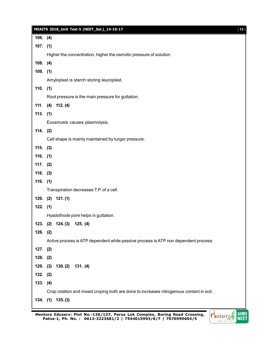|            | MEAITS 2018_Unit Test-5 (NEET_Sol.)_14-10-17                                            | $[13]$ |
|------------|-----------------------------------------------------------------------------------------|--------|
| 106. (4)   |                                                                                         |        |
| $107.$ (1) |                                                                                         |        |
|            | Higher the concentration, higher the osmotic pressure of solution.                      |        |
| 108. (4)   |                                                                                         |        |
| $109.$ (1) |                                                                                         |        |
|            | Amyloplast is starch storing leucoplast.                                                |        |
| $110.$ (1) |                                                                                         |        |
|            | Root pressure is the main pressure for guttation.                                       |        |
| 111.       | $(4)$ 112. $(4)$                                                                        |        |
| 113. (1)   |                                                                                         |        |
|            | Exosmosis causes plasmolysis.                                                           |        |
| $114.$ (2) |                                                                                         |        |
|            | Cell shape is mainly maintained by turgor pressure.                                     |        |
| $115.$ (3) |                                                                                         |        |
| $116.$ (1) |                                                                                         |        |
| $117.$ (2) |                                                                                         |        |
| $118.$ (3) |                                                                                         |        |
| $119.$ (1) |                                                                                         |        |
|            | Transpiration decreases T.P. of a cell.                                                 |        |
|            | 120. $(2)$ 121. $(1)$                                                                   |        |
| $122.$ (1) |                                                                                         |        |
|            | Hyadothode pore helps in guttation.                                                     |        |
|            | 123. (2) 124. (3) 125. (4)                                                              |        |
| $126.$ (2) | Active process is ATP dependent while passive process is ATP non dependent process.     |        |
| $127.$ (2) |                                                                                         |        |
| $128.$ (2) |                                                                                         |        |
|            | 129. (3) 130. (2) 131. (4)                                                              |        |
| 132. (2)   |                                                                                         |        |
| 133. (4)   |                                                                                         |        |
|            | Crop rotation and mixed croping both are done to increases nitrogenous content in soil. |        |
|            | 134. (1) 135. (3)                                                                       |        |
|            |                                                                                         |        |

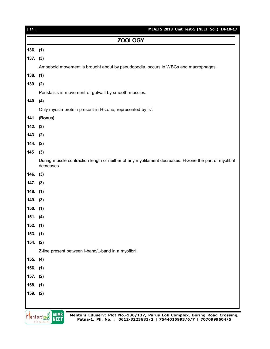| $[14]$     | MEAITS 2018_Unit Test-5 (NEET_Sol.)_14-10-17                                                                         |
|------------|----------------------------------------------------------------------------------------------------------------------|
|            | <b>ZOOLOGY</b>                                                                                                       |
| $136.$ (1) |                                                                                                                      |
| $137.$ (3) |                                                                                                                      |
|            | Amoeboid movement is brought about by pseudopodia, occurs in WBCs and macrophages.                                   |
| $138.$ (1) |                                                                                                                      |
| 139. (2)   |                                                                                                                      |
|            | Peristalsis is movement of gutwall by smooth muscles.                                                                |
| 140.       | (4)                                                                                                                  |
|            | Only myosin protein present in H-zone, represented by 's'.                                                           |
|            | 141. (Bonus)                                                                                                         |
| $142.$ (3) |                                                                                                                      |
| 143. (2)   |                                                                                                                      |
| $144.$ (2) |                                                                                                                      |
| 145        | (3)                                                                                                                  |
|            | During muscle contraction length of neither of any myofilament decreases. H-zone the part of myofibril<br>decreases. |
| 146.       | (3)                                                                                                                  |
| $147.$ (3) |                                                                                                                      |
| $148.$ (1) |                                                                                                                      |
| $149.$ (3) |                                                                                                                      |
| $150.$ (1) |                                                                                                                      |
| 151. (4)   |                                                                                                                      |
| 152. (1)   |                                                                                                                      |
| 153. (1)   |                                                                                                                      |
| $154.$ (2) |                                                                                                                      |
|            | Z-line present between I-band/L-band in a myofibril.                                                                 |
| 155. (4)   |                                                                                                                      |
| $156.$ (1) |                                                                                                                      |
| $157.$ (2) |                                                                                                                      |
| $158.$ (1) |                                                                                                                      |
| 159. (2)   |                                                                                                                      |
|            |                                                                                                                      |